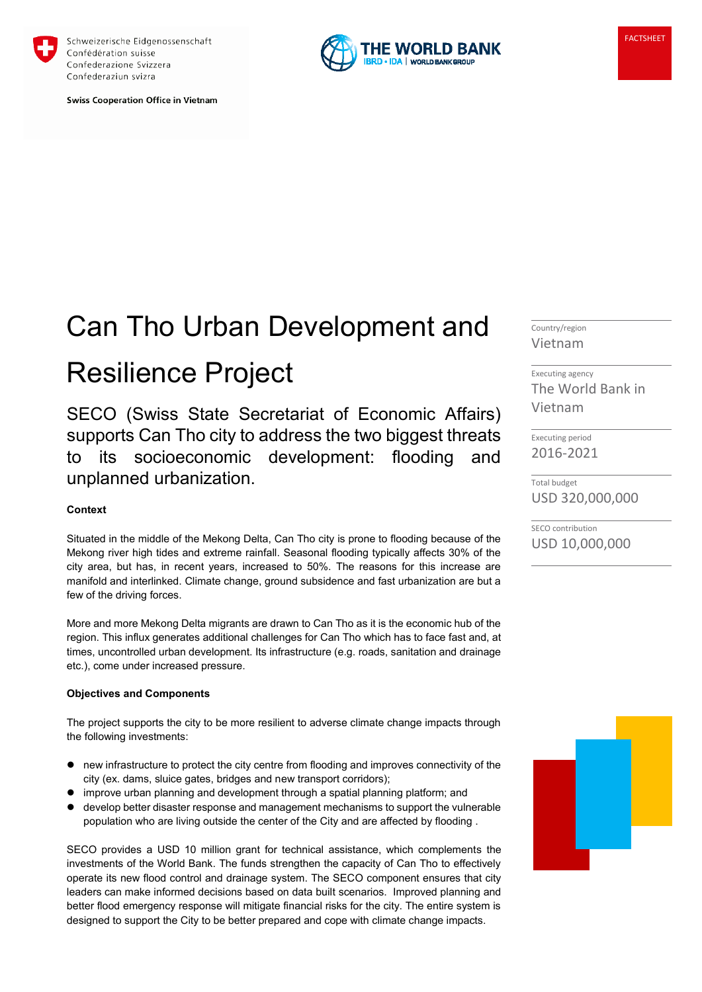

Schweizerische Eidgenossenschaft Confédération suisse Confederazione Svizzera Confederaziun svizra

**Swiss Cooperation Office in Vietnam** 



# Can Tho Urban Development and Resilience Project

SECO (Swiss State Secretariat of Economic Affairs) supports Can Tho city to address the two biggest threats to its socioeconomic development: flooding and unplanned urbanization.

# **Context**

Situated in the middle of the Mekong Delta, Can Tho city is prone to flooding because of the Mekong river high tides and extreme rainfall. Seasonal flooding typically affects 30% of the city area, but has, in recent years, increased to 50%. The reasons for this increase are manifold and interlinked. Climate change, ground subsidence and fast urbanization are but a few of the driving forces.

More and more Mekong Delta migrants are drawn to Can Tho as it is the economic hub of the region. This influx generates additional challenges for Can Tho which has to face fast and, at times, uncontrolled urban development. Its infrastructure (e.g. roads, sanitation and drainage etc.), come under increased pressure.

#### **Objectives and Components**

The project supports the city to be more resilient to adverse climate change impacts through the following investments:

- new infrastructure to protect the city centre from flooding and improves connectivity of the city (ex. dams, sluice gates, bridges and new transport corridors);
- improve urban planning and development through a spatial planning platform; and
- develop better disaster response and management mechanisms to support the vulnerable population who are living outside the center of the City and are affected by flooding .

SECO provides a USD 10 million grant for technical assistance, which complements the investments of the World Bank. The funds strengthen the capacity of Can Tho to effectively operate its new flood control and drainage system. The SECO component ensures that city leaders can make informed decisions based on data built scenarios. Improved planning and better flood emergency response will mitigate financial risks for the city. The entire system is designed to support the City to be better prepared and cope with climate change impacts.

Country/region Vietnam

Executing agency The World Bank in Vietnam

Executing period 2016-2021

Total budget USD 320,000,000

SECO contribution USD 10,000,000